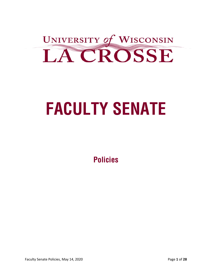

# **FACULTY SENATE**

**Policies**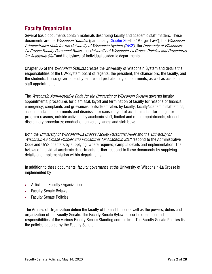# **Faculty Organization**

Several basic documents contain materials describing faculty and academic staff matters. These documents are the *Wisconsin Statutes* (particularly Chapter 36--the "Merger Law"), the *Wisconsin* Administrative Code for the University of Wisconsin System (UWS), the University of Wisconsin-La Crosse Faculty Personnel Rules, the University of Wisconsin-La Crosse Policies and Procedures for Academic Staff and the bylaws of individual academic departments.

Chapter 36 of the *Wisconsin Statutes* creates the University of Wisconsin System and details the responsibilities of the UW-System board of regents, the president, the chancellors, the faculty, and the students. It also governs faculty tenure and probationary appointments, as well as academic staff appointments.

The *Wisconsin Administrative Code for the University of Wisconsin System* governs faculty appointments; procedures for dismissal, layoff and termination of faculty for reasons of financial emergency; complaints and grievances; outside activities by faculty; faculty/academic staff ethics; academic staff appointments and dismissal for cause; layoff of academic staff for budget or program reasons; outside activities by academic staff, limited and other appointments; student disciplinary procedures; conduct on university lands; and sick leave.

Both the University of Wisconsin-La Crosse Faculty Personnel Rules and the University of Wisconsin-La Crosse Policies and Procedures for Academic Staff respond to the Administrative Code and UWS chapters by supplying, where required, campus details and implementation. The bylaws of individual academic departments further respond to these documents by supplying details and implementation within departments.

In addition to these documents, faculty governance at the University of Wisconsin-La Crosse is implemented by

- Articles of Faculty Organization
- Faculty Senate Bylaws
- Faculty Senate Policies

The Articles of Organization define the faculty of the institution as well as the powers, duties and organization of the Faculty Senate. The Faculty Senate Bylaws describe operation and responsibilities of the various Faculty Senate Standing committees. The Faculty Senate Policies list the policies adopted by the Faculty Senate.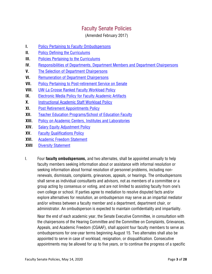# Faculty Senate Policies

(Amended February 2017)

- **I.** Policy Pertaining to Faculty Ombudspersons
- **II.** Policy Defining the Curriculums
- **III.** Policies Pertaining to the Curriculums
- **IV.** Responsibilities of Departments, Department Members and Department Chairpersons
- **V.** The Selection of Department Chairpersons
- **VI.** Remuneration of Department Chairpersons
- **VII.** Policy Pertaining to Post-retirement Service on Senate
- **VIII.** UW-La Crosse Ranked Faculty Workload Policy
- **IX.** Electronic Media Policy for Faculty Academic Artifacts
- **X.** Instructional Academic Staff Workload Policy
- **XI.** Post Retirement Appointments Policy
- **XII.** Teacher Education Programs/School of Education Faculty
- **XIII.** Policy on Academic Centers, Institutes and Laboratories
- **XIV.** Salary Equity Adjustment Policy
- **XV.** Faculty Qualifications Policy
- **XVI.** Academic Freedom Statement
- **XVII Diversity Statement**
- I. Four **faculty ombudspersons,** and two alternates, shall be appointed annually to help faculty members seeking information about or assistance with informal resolution or seeking information about formal resolution of personnel problems, including nonrenewals, dismissals, complaints, grievances, appeals, or hearings. The ombudspersons shall serve as individual consultants and advisors, not as members of a committee or a group acting by consensus or voting, and are not limited to assisting faculty from one's own college or school. If parties agree to mediation to resolve disputed facts and/or explore alternatives for resolution, an ombudsperson may serve as an impartial mediator and/or witness between a faculty member and a department, department chair, or administrator. An ombudsperson is expected to maintain confidentiality and impartiality.

Near the end of each academic year, the Senate Executive Committee, in consultation with the chairpersons of the Hearing Committee and the Committee on Complaints, Grievances, Appeals, and Academic Freedom (CGAAF), shall appoint four faculty members to serve as ombudspersons for one-year terms beginning August 15. Two alternates shall also be appointed to serve in case of workload, resignation, or disqualification. Consecutive appointments may be allowed for up to five years, or to continue the progress of a specific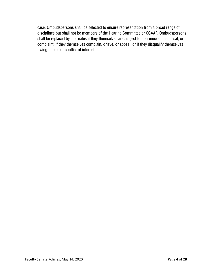case. Ombudspersons shall be selected to ensure representation from a broad range of disciplines but shall not be members of the Hearing Committee or CGAAF. Ombudspersons shall be replaced by alternates if they themselves are subject to nonrenewal, dismissal, or complaint; if they themselves complain, grieve, or appeal; or if they disqualify themselves owing to bias or conflict of interest.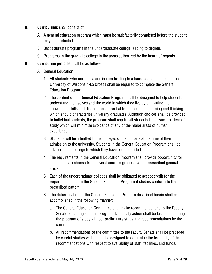- II. **Curriculums** shall consist of:
	- A. A general education program which must be satisfactorily completed before the student may be graduated.
	- B. Baccalaureate programs in the undergraduate college leading to degree.
	- C. Programs in the graduate college in the areas authorized by the board of regents.

#### III. **Curriculum policies** shall be as follows:

- A. General Education
	- 1. All students who enroll in a curriculum leading to a baccalaureate degree at the University of Wisconsin-La Crosse shall be required to complete the General Education Program.
	- 2. The content of the General Education Program shall be designed to help students understand themselves and the world in which they live by cultivating the knowledge, skills and dispositions essential for independent learning and thinking which should characterize university graduates. Although choices shall be provided to individual students, the program shall require all students to pursue a pattern of study which will minimize avoidance of any of the major areas of human experience.
	- 3. Students will be admitted to the colleges of their choice at the time of their admission to the university. Students in the General Education Program shall be advised in the college to which they have been admitted.
	- 4. The requirements in the General Education Program shall provide opportunity for all students to choose from several courses grouped within prescribed general areas.
	- 5. Each of the undergraduate colleges shall be obligated to accept credit for the requirements met in the General Education Program if studies conform to the prescribed pattern.
	- 6. The determination of the General Education Program described herein shall be accomplished in the following manner:
		- a. The General Education Committee shall make recommendations to the Faculty Senate for changes in the program. No faculty action shall be taken concerning the program of study without preliminary study and recommendations by the committee.
		- b. All recommendations of the committee to the Faculty Senate shall be preceded by careful studies which shall be designed to determine the feasibility of the recommendations with respect to availability of staff, facilities, and funds.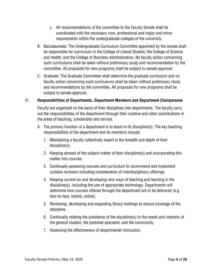- c. All recommendations of the committee to the Faculty Senate shall be coordinated with the necessary core, professional and major and minor requirements within the undergraduate colleges of the university.
- B. Baccalaureate: The Undergraduate Curriculum Committee appointed by the senate shall be responsible for curriculum in the College of Liberal Studies; the College of Science and Health; and the College of Business Administration. No faculty action concerning such curriculums shall be taken without preliminary study and recommendation by the committee. All proposals for new programs shall be subject to senate approval.
- C. Graduate: The Graduate Committee shall determine the graduate curriculum and no faculty action concerning such curriculums shall be taken without preliminary study and recommendations by the committee. All proposals for new programs shall be subject to senate approval.

# IV. **Responsibilities of Departments, Department Members and Department Chairpersons**

Faculty are organized on the basis of their disciplines into departments. The faculty carry out the responsibilities of the department through their creative and other contributions in the areas of teaching, scholarship and service.

- A. The primary function of a department is to teach in its discipline(s). The key teaching responsibilities of the department and its members include:
	- 1. Maintaining a faculty collectively expert in the breadth and depth of their discipline(s).
	- 2. Keeping abreast of the subject matter of their discipline(s) and incorporating this matter into courses.
	- 3. Continually assessing courses and curriculum to recommend and implement suitable revisions including consideration of interdisciplinary offerings.
	- 4. Keeping current on and developing new ways of teaching and learning in the discipline(s), including the use of appropriate technology. Departments will determine how courses offered through the department are to be delivered (e.g. face-to-face, hybrid, online).
	- 5. Reviewing, developing and expanding library holdings to ensure coverage of the discipline.
	- 6. Continually relating the substance of the discipline(s) to the needs and interests of the general student, the potential specialist, and the community.
	- 7. Assessing the effectiveness of departmental instruction.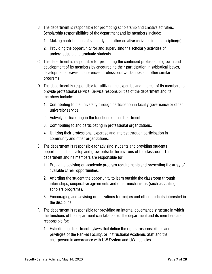- B. The department is responsible for promoting scholarship and creative activities. Scholarship responsibilities of the department and its members include:
	- 1. Making contributions of scholarly and other creative activities in the discipline(s).
	- 2. Providing the opportunity for and supervising the scholarly activities of undergraduate and graduate students.
- C. The department is responsible for promoting the continued professional growth and development of its members by encouraging their participation in sabbatical leaves, developmental leaves, conferences, professional workshops and other similar programs.
- D. The department is responsible for utilizing the expertise and interest of its members to provide professional service. Service responsibilities of the department and its members include:
	- 1. Contributing to the university through participation in faculty governance or other university service.
	- 2. Actively participating in the functions of the department.
	- 3. Contributing to and participating in professional organizations.
	- 4. Utilizing their professional expertise and interest through participation in community and other organizations.
- E. The department is responsible for advising students and providing students opportunities to develop and grow outside the environs of the classroom. The department and its members are responsible for:
	- 1. Providing advising on academic program requirements and presenting the array of available career opportunities.
	- 2. Affording the student the opportunity to learn outside the classroom through internships, cooperative agreements and other mechanisms (such as visiting scholars programs).
	- 3. Encouraging and advising organizations for majors and other students interested in the discipline.
- F. The department is responsible for providing an internal governance structure in which the functions of the department can take place. The department and its members are responsible for:
	- 1. Establishing department bylaws that define the rights, responsibilities and privileges of the Ranked Faculty, or Instructional Academic Staff and the chairperson in accordance with UW System and UWL policies.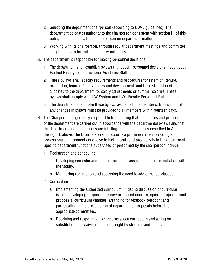- 2. Selecting the department chairperson (according to UW-L guidelines). The department delegates authority to the chairperson consistent with section H. of this policy and consults with the chairperson on department matters.
- 3. Working with its chairperson, through regular department meetings and committee assignments, to formulate and carry out policy.
- G. The department is responsible for making personnel decisions.
	- 1. The department shall establish bylaws that govern personnel decisions made about Ranked Faculty, or Instructional Academic Staff.
	- 2. These bylaws shall specify requirements and procedures for retention, tenure, promotion, tenured faculty review and development, and the distribution of funds allocated to the department for salary adjustments or summer salaries. These bylaws shall comply with UW System and UWL Faculty Personnel Rules.
	- 3. The department shall make these bylaws available to its members. Notification of any changes in bylaws must be provided to all members within fourteen days.
- H. The Chairperson is generally responsible for ensuring that the policies and procedures of the department are carried out in accordance with the departmental bylaws and that the department and its members are fulfilling the responsibilities described in A. through G. above. The Chairperson shall assume a prominent role in creating a professional environment conducive to high morale and productivity in the department. Specific department functions supervised or performed by the chairperson include:
	- 1. Registration and scheduling
		- a. Developing semester and summer session class schedules in consultation with the faculty.
		- b. Monitoring registration and assessing the need to add or cancel classes.
	- 2. Curriculum
		- a. Implementing the authorized curriculum; initiating discussion of curricular issues; developing proposals for new or revised courses, special projects, grant proposals, curriculum changes; arranging for textbook selection; and participating in the presentation of departmental proposals before the appropriate committees.
		- b. Receiving and responding to concerns about curriculum and acting on substitution and waiver requests brought by students and others.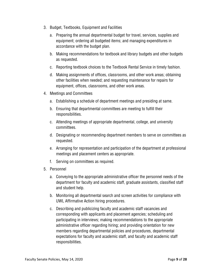- 3. Budget, Textbooks, Equipment and Facilities
	- a. Preparing the annual departmental budget for travel, services, supplies and equipment; ordering all budgeted items; and managing expenditures in accordance with the budget plan.
	- b. Making recommendations for textbook and library budgets and other budgets as requested.
	- c. Reporting textbook choices to the Textbook Rental Service in timely fashion.
	- d. Making assignments of offices, classrooms, and other work areas; obtaining other facilities when needed; and requesting maintenance for repairs for equipment, offices, classrooms, and other work areas.
- 4. Meetings and Committees
	- a. Establishing a schedule of department meetings and presiding at same.
	- b. Ensuring that departmental committees are meeting to fulfill their responsibilities.
	- c. Attending meetings of appropriate departmental, college, and university committees.
	- d. Designating or recommending department members to serve on committees as requested.
	- e. Arranging for representation and participation of the department at professional meetings and placement centers as appropriate.
	- f. Serving on committees as required.
- 5. Personnel
	- a. Conveying to the appropriate administrative officer the personnel needs of the department for faculty and academic staff, graduate assistants, classified staff and student help.
	- b. Monitoring all departmental search and screen activities for compliance with UWL Affirmative Action hiring procedures.
	- c. Describing and publicizing faculty and academic staff vacancies and corresponding with applicants and placement agencies; scheduling and participating in interviews; making recommendations to the appropriate administrative officer regarding hiring; and providing orientation for new members regarding departmental policies and procedures, departmental expectations for faculty and academic staff, and faculty and academic staff responsibilities.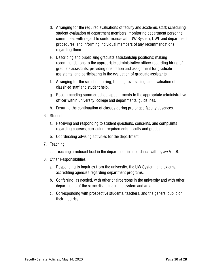- d. Arranging for the required evaluations of faculty and academic staff; scheduling student evaluation of department members; monitoring department personnel committees with regard to conformance with UW System, UWL and department procedures; and informing individual members of any recommendations regarding them.
- e. Describing and publicizing graduate assistantship positions; making recommendations to the appropriate administrative officer regarding hiring of graduate assistants; providing orientation and assignment for graduate assistants; and participating in the evaluation of graduate assistants.
- f. Arranging for the selection, hiring, training, overseeing, and evaluation of classified staff and student help.
- g. Recommending summer school appointments to the appropriate administrative officer within university, college and departmental guidelines.
- h. Ensuring the continuation of classes during prolonged faculty absences.
- 6. Students
	- a. Receiving and responding to student questions, concerns, and complaints regarding courses, curriculum requirements, faculty and grades.
	- b. Coordinating advising activities for the department.
- 7. Teaching
	- a. Teaching a reduced load in the department in accordance with bylaw VIII.B.
- 8. Other Responsibilities
	- a. Responding to inquiries from the university, the UW System, and external accrediting agencies regarding department programs.
	- b. Conferring, as needed, with other chairpersons in the university and with other departments of the same discipline in the system and area.
	- c. Corresponding with prospective students, teachers, and the general public on their inquiries.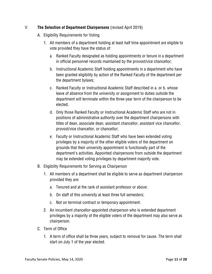#### V. **The Selection of Department Chairpersons** (revised April 2019)

- A. Eligibility Requirements for Voting
	- 1. All members of a department holding at least half time appointment are eligible to vote provided they have the status of:
		- a. Ranked Faculty designated as holding appointments or tenure in a department in official personnel records maintained by the provost/vice chancellor;
		- b. Instructional Academic Staff holding appointments in a department who have been granted eligibility by action of the Ranked Faculty of the department per the department bylaws;
		- c. Ranked Faculty or Instructional Academic Staff described in a. or b. whose leave of absence from the university or assignment to duties outside the department will terminate within the three-year term of the chairperson to be elected;
		- d. Only those Ranked Faculty or Instructional Academic Staff who are not in positions of administrative authority over the department chairpersons with titles of dean, associate dean, assistant chancellor, assistant vice chancellor, provost/vice chancellor, or chancellor;
		- e. Faculty or Instructional Academic Staff who have been extended voting privileges by a majority of the other eligible voters of the department on grounds that their university appointment is functionally part of the department's activities. Appointed chairpersons from outside the department may be extended voting privileges by department majority vote.
- B. Eligibility Requirements for Serving as Chairperson
	- 1. All members of a department shall be eligible to serve as department chairperson provided they are:
		- a. Tenured and at the rank of assistant professor or above;
		- b. On staff of this university at least three full semesters;
		- c. Not on terminal contract or temporary appointment.
	- 2. An incumbent chancellor-appointed chairperson who is extended department privileges by a majority of the eligible voters of the department may also serve as chairperson.
- C. Term of Office
	- 1. A term of office shall be three years, subject to removal for cause. The term shall start on July 1 of the year elected.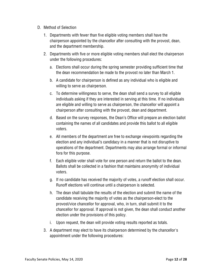- D. Method of Selection
	- 1. Departments with fewer than five eligible voting members shall have the chairperson appointed by the chancellor after consulting with the provost, dean, and the department membership.
	- 2. Departments with five or more eligible voting members shall elect the chairperson under the following procedures:
		- a. Elections shall occur during the spring semester providing sufficient time that the dean recommendation be made to the provost no later than March 1.
		- b. A candidate for chairperson is defined as any individual who is eligible and willing to serve as chairperson.
		- c. To determine willingness to serve, the dean shall send a survey to all eligible individuals asking if they are interested in serving at this time. If no individuals are eligible and willing to serve as chairperson, the chancellor will appoint a chairperson after consulting with the provost, dean and department.
		- d. Based on the survey responses, the Dean's Office will prepare an election ballot containing the names of all candidates and provide this ballot to all eligible voters.
		- e. All members of the department are free to exchange viewpoints regarding the election and any individual's candidacy in a manner that is not disruptive to operations of the department. Departments may also arrange formal or informal fora for this purpose.
		- f. Each eligible voter shall vote for one person and return the ballot to the dean. Ballots shall be collected in a fashion that maintains anonymity of individual voters.
		- g. If no candidate has received the majority of votes, a runoff election shall occur. Runoff elections will continue until a chairperson is selected.
		- h. The dean shall tabulate the results of the election and submit the name of the candidate receiving the majority of votes as the chairperson-elect to the provost/vice chancellor for approval, who, in turn, shall submit it to the chancellor for approval. If approval is not given, the dean shall conduct another election under the provisions of this policy.
		- i. Upon request, the dean will provide voting results reported as totals.
	- 3. A department may elect to have its chairperson determined by the chancellor's appointment under the following procedures: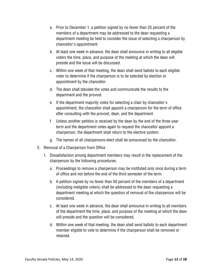- a. Prior to December 1, a petition signed by no fewer than 25 percent of the members of a department may be addressed to the dean requesting a department meeting be held to consider the issue of selecting a chairperson by chancellor's appointment.
- b. At least one week in advance, the dean shall announce in writing to all eligible voters the time, place, and purpose of the meeting at which the dean will preside and the issue will be discussed.
- c. Within one week of that meeting, the dean shall send ballots to each eligible voter to determine if the chairperson is to be selected by election or appointment by the chancellor.
- d. The dean shall tabulate the votes and communicate the results to the department and the provost.
- e. If the department majority votes for selecting a chair by chancellor's appointment, the chancellor shall appoint a chairperson for the term of office after consulting with the provost, dean, and the department.
- f. Unless another petition is received by the dean by the end of the three-year term and the department votes again to request the chancellor appoint a chairperson, the department shall return to the elective system.
- g. The names of all chairpersons-elect shall be announced by the chancellor.
- E. Removal of a Chairperson from Office
	- 1. Dissatisfaction among department members may result in the replacement of the chairperson by the following procedures:
		- a. Proceedings to remove a chairperson may be instituted only once during a term of office and not before the end of the third semester of the term.
		- b. A petition signed by no fewer than 50 percent of the members of a department (including ineligible voters) shall be addressed to the dean requesting a department meeting at which the question of removal of the chairperson will be considered.
		- c. At least one week in advance, the dean shall announce in writing to all members of the department the time, place, and purpose of the meeting at which the dean will preside and the question will be considered.
		- d. Within one week of that meeting, the dean shall send ballots to each department member eligible to vote to determine if the chairperson shall be removed or retained.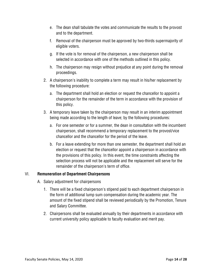- e. The dean shall tabulate the votes and communicate the results to the provost and to the department.
- f. Removal of the chairperson must be approved by two-thirds supermajority of eligible voters.
- g. If the vote is for removal of the chairperson, a new chairperson shall be selected in accordance with one of the methods outlined in this policy.
- h. The chairperson may resign without prejudice at any point during the removal proceedings.
- 2. A chairperson's inability to complete a term may result in his/her replacement by the following procedure:
	- a. The department shall hold an election or request the chancellor to appoint a chairperson for the remainder of the term in accordance with the provision of this policy.
- 3. A temporary leave taken by the chairperson may result in an interim appointment being made according to the length of leave; by the following procedures:
	- a. For one semester or for a summer, the dean in consultation with the incumbent chairperson, shall recommend a temporary replacement to the provost/vice chancellor and the chancellor for the period of the leave.
	- b. For a leave extending for more than one semester, the department shall hold an election or request that the chancellor appoint a chairperson in accordance with the provisions of this policy. In this event, the time constraints affecting the selection process will not be applicable and the replacement will serve for the remainder of the chairperson's term of office.

# VI. **Remuneration of Department Chairpersons**

- A. Salary adjustment for chairpersons
	- 1. There will be a fixed chairperson's stipend paid to each department chairperson in the form of additional lump sum compensation during the academic year. The amount of the fixed stipend shall be reviewed periodically by the Promotion, Tenure and Salary Committee.
	- 2. Chairpersons shall be evaluated annually by their departments in accordance with current university policy applicable to faculty evaluation and merit pay.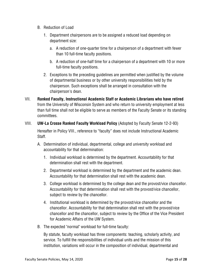- B. Reduction of Load
	- 1. Department chairpersons are to be assigned a reduced load depending on department size:
		- a. A reduction of one-quarter time for a chairperson of a department with fewer than 10 full-time faculty positions.
		- b. A reduction of one-half time for a chairperson of a department with 10 or more full-time faculty positions.
	- 2. Exceptions to the preceding guidelines are permitted when justified by the volume of departmental business or by other university responsibilities held by the chairperson. Such exceptions shall be arranged in consultation with the chairperson's dean.
- VII. **Ranked Faculty, Instructional Academic Staff or Academic Librarians who have retired**  from the University of Wisconsin System and who return to university employment at less than full time shall not be eligible to serve as members of the Faculty Senate or its standing committees.
- VIII. **UW-La Crosse Ranked Faculty Workload Policy** (Adopted by Faculty Senate 12-2-93) Hereafter in Policy VIII., reference to "faculty" does not include Instructional Academic Staff.
	- A. Determination of individual, departmental, college and university workload and accountability for that determination:
		- 1. Individual workload is determined by the department. Accountability for that determination shall rest with the department.
		- 2. Departmental workload is determined by the department and the academic dean. Accountability for that determination shall rest with the academic dean.
		- 3. College workload is determined by the college dean and the provost/vice chancellor. Accountability for that determination shall rest with the provost/vice chancellor, subject to review by the chancellor.
		- 4. Institutional workload is determined by the provost/vice chancellor and the chancellor. Accountability for that determination shall rest with the provost/vice chancellor and the chancellor, subject to review by the Office of the Vice President for Academic Affairs of the UW System.
	- B. The expected "normal" workload for full-time faculty:

By statute, faculty workload has three components: teaching, scholarly activity, and service. To fulfill the responsibilities of individual units and the mission of this institution, variations will occur in the composition of individual, departmental and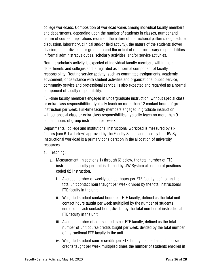college workloads. Composition of workload varies among individual faculty members and departments, depending upon the number of students in classes, number and nature of course preparations required, the nature of instructional patterns (e.g. lecture, discussion, laboratory, clinical and/or field activity), the nature of the students (lower division, upper division, or graduate) and the extent of other necessary responsibilities in formal administrative duties, scholarly activities, and/or service activities.

Routine scholarly activity is expected of individual faculty members within their departments and colleges and is regarded as a normal component of faculty responsibility. Routine service activity, such as committee assignments, academic advisement, or assistance with student activities and organizations, public service, community service and professional service, is also expected and regarded as a normal component of faculty responsibility.

Full-time faculty members engaged in undergraduate instruction, without special class or extra-class responsibilities, typically teach no more than 12 contact hours of group instruction per week. Full-time faculty members engaged in graduate instruction, without special class or extra-class responsibilities, typically teach no more than 9 contact hours of group instruction per week.

Departmental, college and institutional instructional workload is measured by six factors [see B.1.a. below] approved by the Faculty Senate and used by the UW System. Instructional workload is a primary consideration in the allocation of university resources.

- 1. Teaching:
	- a. Measurement: In sections 1) through 6) below, the total number of FTE instructional faculty per unit is defined by UW System allocation of positions coded 02 Instruction.
		- i. Average number of weekly contact hours per FTE faculty, defined as the total unit contact hours taught per week divided by the total instructional FTE faculty in the unit.
		- ii. Weighted student contact hours per FTE faculty, defined as the total unit contact hours taught per week multiplied by the number of students enrolled in each contact hour, divided by the total number of instructional FTE faculty in the unit.
		- iii. Average number of course credits per FTE faculty, defined as the total number of unit course credits taught per week, divided by the total number of instructional FTE faculty in the unit.
		- iv. Weighted student course credits per FTE faculty, defined as unit course credits taught per week multiplied times the number of students enrolled in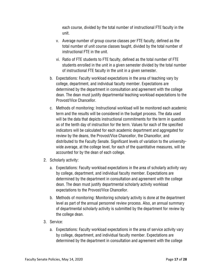each course, divided by the total number of instructional FTE faculty in the unit.

- v. Average number of group course classes per FTE faculty, defined as the total number of unit course classes taught, divided by the total number of instructional FTE in the unit.
- vi. Ratio of FTE students to FTE faculty, defined as the total number of FTE students enrolled in the unit in a given semester divided by the total number of instructional FTE faculty in the unit in a given semester.
- b. Expectations: Faculty workload expectations in the area of teaching vary by college, department, and individual faculty member. Expectations are determined by the department in consultation and agreement with the college dean. The dean must justify departmental teaching workload expectations to the Provost/Vice Chancellor.
- c. Methods of monitoring: Instructional workload will be monitored each academic term and the results will be considered in the budget process. The data used will be the data that depicts instructional commitments for the term in question as of the tenth day of instruction for the term. Values for each of the specified indicators will be calculated for each academic department and aggregated for review by the deans, the Provost/Vice Chancellor, the Chancellor, and distributed to the Faculty Senate. Significant levels of variation to the universitywide average, at the college level, for each of the quantitative measures, will be accounted for by the dean of each college.
- 2. Scholarly activity:
	- a. Expectations: Faculty workload expectations in the area of scholarly activity vary by college, department, and individual faculty member. Expectations are determined by the department in consultation and agreement with the college dean. The dean must justify departmental scholarly activity workload expectations to the Provost/Vice Chancellor.
	- b. Methods of monitoring: Monitoring scholarly activity is done at the department level as part of the annual personnel review process. Also, an annual summary of departmental scholarly activity is submitted by the department for review by the college dean.
- 3. Service:
	- a. Expectations: Faculty workload expectations in the area of service activity vary by college, department, and individual faculty member. Expectations are determined by the department in consultation and agreement with the college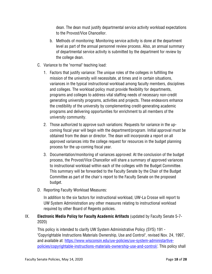dean. The dean must justify departmental service activity workload expectations to the Provost/Vice Chancellor.

- b. Methods of monitoring: Monitoring service activity is done at the department level as part of the annual personnel review process. Also, an annual summary of departmental service activity is submitted by the department for review by the college dean.
- C. Variance to the "normal" teaching load:
	- 1. Factors that justify variance: The unique roles of the colleges in fulfilling the mission of the university will necessitate, at times and in certain situations, variances in the typical instructional workload among faculty members, disciplines and colleges. The workload policy must provide flexibility for departments, programs and colleges to address vital staffing needs of necessary non-credit generating university programs, activities and projects. These endeavors enhance the credibility of the university by complementing credit-generating academic programs and delivering opportunities for enrichment to all members of the university community.
	- 2. Those authorized to approve such variations: Requests for variance in the upcoming fiscal year will begin with the department/program. Initial approval must be obtained from the dean or director. The dean will incorporate a report on all approved variances into the college request for resources in the budget planning process for the up-coming fiscal year.
	- 3. Documentation/monitoring of variances approved: At the conclusion of the budget process, the Provost/Vice Chancellor will share a summary of approved variances to instructional workload within each of the colleges with the Budget Committee. This summary will be forwarded to the Faculty Senate by the Chair of the Budget Committee as part of the chair's report to the Faculty Senate on the proposed budget.
- D. Reporting Faculty Workload Measures:

In addition to the six factors for instructional workload, UW-La Crosse will report to UW System Administration any other measures relating to instructional workload required by other Board of Regents policies.

# IX. **Electronic Media Policy for Faculty Academic Artifacts** (updated by Faculty Senate 5-7- 2020)

This policy is intended to clarify UW System Administrative Policy (SYS) 191 - "Copyrightable Instructions Materials Ownership, Use and Control", revised Nov. 24, 1997, and available at: https://www.wisconsin.edu/uw-policies/uw-system-administartivepolicies/copyrightable-instructions-materials-ownership-use-and-control/. This policy shall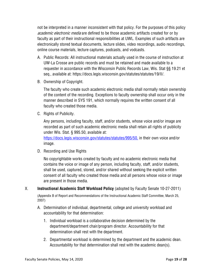not be interpreted in a manner inconsistent with that policy. For the purposes of this policy academic electronic media are defined to be those academic artifacts created for or by faculty as part of their instructional responsibilities at UWL. Examples of such artifacts are electronically stored textual documents, lecture slides, video recordings, audio recordings, online course materials, lecture captures, podcasts, and vodcasts.

- A. Public Records: All instructional materials actually used in the course of instruction at UW-La Crosse are public records and must be retained and made available to a requester in accordance with the Wisconsin Public Records Law, Wis. Stat §§ 19.21 et seq., available at: https://docs.legis.wisconsin.gov/statutes/statutes/19/II/.
- B. Ownership of Copyright.

The faculty who create such academic electronic media shall normally retain ownership of the content of the recording. Exceptions to faculty ownership shall occur only in the manner described in SYS 191, which normally requires the written consent of all faculty who created those media.

C. Rights of Publicity.

Any persons, including faculty, staff, and/or students, whose voice and/or image are recorded as part of such academic electronic media shall retain all rights of publicity under Wis. Stat. § 995.50, available at:

https://docs.legis.wisconsin.gov/statutes/statutes/995/50, in their own voice and/or image.

D. Recording and Use Rights

No copyrightable works created by faculty and no academic electronic media that contains the voice or image of any person, including faculty, staff, and/or students, shall be used, captured, stored, and/or shared without seeking the explicit written consent of all faculty who created those media and all persons whose voice or image are present in those media.

X. **Instructional Academic Staff Workload Policy** (adopted by Faculty Senate 10-27-2011) (Appendix B of Report and Recommendations of the Instructional Academic Staff Committee, March 25, 2007)

- A. Determination of individual, departmental, college and university workload and accountability for that determination:
	- 1. Individual workload is a collaborative decision determined by the department/department chair/program director. Accountability for that determination shall rest with the department.
	- 2. Departmental workload is determined by the department and the academic dean. Accountability for that determination shall rest with the academic dean(s).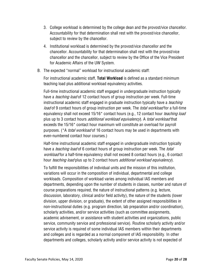- 3. College workload is determined by the college dean and the provost/vice chancellor. Accountability for that determination shall rest with the provost/vice chancellor, subject to review by the chancellor.
- 4. Institutional workload is determined by the provost/vice chancellor and the chancellor. Accountability for that determination shall rest with the provost/vice chancellor and the chancellor, subject to review by the Office of the Vice President for Academic Affairs of the UW System.
- B. The expected "normal" workload for instructional academic staff:

For instructional academic staff, **Total Workload** is defined as a standard minimum teaching load plus additional workload equivalency activities.

Full-time instructional academic staff engaged in undergraduate instruction typically have a *teaching load* of 12 contact hours of group instruction per week. Full-time instructional academic staff engaged in graduate instruction typically have a *teaching* load of 9 contact hours of group instruction per week. The *total workload* for a full-time equivalency shall not exceed 15/16<sup>\*</sup> contact hours (e.g., 12 contact hour *teaching load* plus up to 3 contact hours *additional workload equivalency*). A *total workload* that exceeds the 15/16\* contact hour maximum will constitute an overload for payroll purposes. (\*A *total workload* of 16 contact hours may be used in departments with even-numbered contact hour courses.)

Half-time instructional academic staff engaged in undergraduate instruction typically have a *teaching load* of 6 contact hours of group instruction per week. The *total* workload for a half-time equivalency shall not exceed 8 contact hours (e.g., 6 contact hour *teaching load* plus up to 2 contact hours *additional workload equivalency*).

To fulfill the responsibilities of individual units and the mission of this institution, variations will occur in the composition of individual, departmental and college workloads. Composition of workload varies among individual IAS members and departments, depending upon the number of students in classes, number and nature of course preparations required, the nature of instructional patterns (e.g. lecture, discussion, laboratory, clinical and/or field activity), the nature of the students (lower division, upper division, or graduate), the extent of other assigned responsibilities in non-instructional duties (e.g. program direction, lab preparation and/or coordination), scholarly activities, and/or service activities (such as committee assignments, academic advisement, or assistance with student activities and organizations, public service, community service and professional service). Routine scholarly activity and/or service activity is required of some individual IAS members within their departments and colleges and is regarded as a normal component of IAS responsibility. In other departments and colleges, scholarly activity and/or service activity is not expected of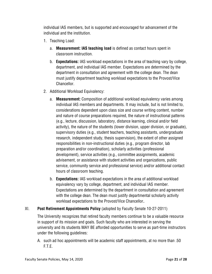individual IAS members, but is supported and encouraged for advancement of the individual and the institution.

- 1. Teaching Load:
	- a. **Measurement: IAS teaching load** is defined as contact hours spent in classroom instruction.
	- b. **Expectations:** IAS workload expectations in the area of teaching vary by college, department, and individual IAS member. Expectations are determined by the department in consultation and agreement with the college dean. The dean must justify department teaching workload expectations to the Provost/Vice Chancellor.
- 2. Additional Workload Equivalency:
	- a. **Measurement:** Composition of additional workload equivalency varies among individual IAS members and departments. It may include, but is not limited to, considerations dependent upon class size and course writing content, number and nature of course preparations required, the nature of instructional patterns (e.g., lecture, discussion, laboratory, distance learning, clinical and/or field activity), the nature of the students (lower division, upper division, or graduate), supervisory duties (e.g., student teachers, teaching assistants, undergraduate research, independent study, thesis supervision), the extent of other assigned responsibilities in non-instructional duties (e.g., program director, lab preparation and/or coordination), scholarly activities (professional development), service activities (e.g., committee assignments, academic advisement, or assistance with student activities and organizations, public service, community service and professional service) and/or additional contact hours of classroom teaching.
	- b. **Expectations:** IAS workload expectations in the area of additional workload equivalency vary by college, department, and individual IAS member. Expectations are determined by the department in consultation and agreement with the college dean. The dean must justify departmental scholarly activity workload expectations to the Provost/Vice Chancellor**.**

#### XI. **Post Retirement Appointments Policy** (adopted by Faculty Senate 10-27-2011)

The University recognizes that retired faculty members continue to be a valuable resource in support of its mission and goals. Such faculty who are interested in serving the university and its students MAY BE afforded opportunities to serve as part-time instructors under the following guidelines:

A. such ad hoc appointments will be academic staff appointments, at no more than .50 F.T.E.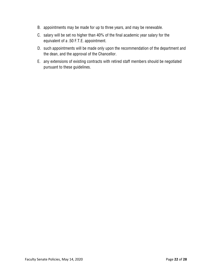- B. appointments may be made for up to three years, and may be renewable.
- C. salary will be set no higher than 40% of the final academic year salary for the equivalent of a .50 F.T.E. appointment.
- D. such appointments will be made only upon the recommendation of the department and the dean, and the approval of the Chancellor.
- E. any extensions of existing contracts with retired staff members should be negotiated pursuant to these guidelines.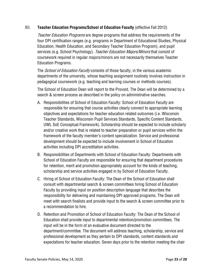#### XII. **Teacher Education Programs/School of Education Faculty** (effective Fall 2012)

Teacher Education Programs are degree programs that address the requirements of the four DPI certification ranges (e.g. programs in Department of Educational Studies, Physical Education, Health Education, and Secondary Teacher Education Program), and pupil services (e.g. School Psychology). Teacher Education Majors/Minors that consist of coursework required in regular majors/minors are not necessarily themselves Teacher Education Programs.

The *School of Education Faculty* consists of those faculty, in the various academic departments of the university, whose teaching assignment routinely involves instruction in pedagogical coursework (e.g. teaching and learning courses or methods courses).

The School of Education Dean will report to the Provost. The Dean will be determined by a search & screen process as described in the policy on administrative searches.

- A. Responsibilities of School of Education Faculty: School of Education Faculty are responsible for ensuring that course activities clearly connect to appropriate learning objectives and expectations for teacher education related outcomes (i.e. Wisconsin Teacher Standards, Wisconsin Pupil Services Standards, Specific Content Standards, UWL SoE Conceptual Framework). Scholarship should be expected to include scholarly and/or creative work that is related to teacher preparation or pupil services within the framework of the faculty member's content specialization. Service and professional development should be expected to include involvement in School of Education activities including DPI accreditation activities.
- B. Responsibilities of Departments with School of Education Faculty: Departments with School of Education Faculty are responsible for ensuring that department procedures for retention, merit and promotion appropriately account for the kinds of teaching, scholarship and service activities engaged in by School of Education Faculty.
- C. Hiring of School of Education Faculty: The Dean of the School of Education shall consult with departmental search & screen committees hiring School of Education Faculty by providing input on position description language that describes the responsibility for delivering and maintaining DPI approved programs. The Dean will meet with search finalists and provide input to the search & screen committee prior to a recommendation to hire.
- D. Retention and Promotion of School of Education Faculty: The Dean of the School of Education shall provide input to departmental retention/promotion committees. The input will be in the form of an evaluative document directed to the department/committee. The document will address teaching, scholarship, service and professional development as they pertain to DPI standards, content standards and expectations for teacher education. Seven days prior to the retention meeting the chair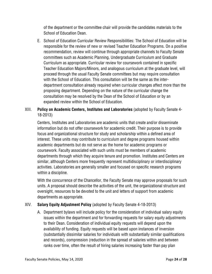of the department or the committee chair will provide the candidates materials to the School of Education Dean.

E. School of Education Curricular Review Responsibilities: The School of Education will be responsible for the review of new or revised Teacher Education Programs. On a positive recommendation, review will continue through appropriate channels to Faculty Senate committees such as Academic Planning, Undergraduate Curriculum and Graduate Curriculum as appropriate. Curricular review for coursework contained in specific Teacher Education Majors/Minors, and analogous curriculum at the graduate level, will proceed through the usual Faculty Senate committees but may require consultation with the School of Education. This consultation will be the same as the interdepartment consultation already required when curricular changes affect more than the proposing department. Depending on the nature of the curricular change the consultation may be resolved by the Dean of the School of Education or by an expanded review within the School of Education.

# XIII. **Policy on Academic Centers, Institutes and Laboratories** (adopted by Faculty Senate 4- 18-2013)

Centers, Institutes and Laboratories are academic units that create and/or disseminate information but do not offer coursework for academic credit. Their purpose is to provide focus and organizational structure for study and scholarship within a defined area of interest. These units may contribute to curriculum and degree programs housed within academic departments but do not serve as the home for academic programs or coursework. Faculty associated with such units must be members of academic departments through which they acquire tenure and promotion. Institutes and Centers are similar, although Centers more frequently represent multidisciplinary or interdisciplinary activities. Laboratories are generally smaller and focused on specific research programs within a discipline.

With the concurrence of the Chancellor, the Faculty Senate may approve proposals for such units. A proposal should describe the activities of the unit, the organizational structure and oversight, resources to be devoted to the unit and letters of support from academic departments as appropriate.

# XIV. **Salary Equity Adjustment Policy** (adopted by Faculty Senate 4-18-2013)

A. Department bylaws will include policy for the consideration of individual salary equity issues within the department and for forwarding requests for salary equity adjustments to their Dean. Consideration of individual equity requests will depend upon the availability of funding. Equity requests will be based upon instances of inversion (substantially dissimilar salaries for individuals with substantially similar qualifications and records), compression (reduction in the spread of salaries within and between ranks over time, often the result of hiring salaries increasing faster than pay plan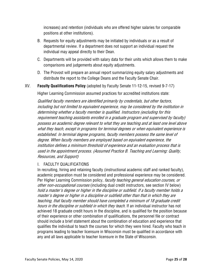increases) and retention (individuals who are offered higher salaries for comparable positions at other institutions).

- B. Requests for equity adjustments may be initiated by individuals or as a result of departmental review. If a department does not support an individual request the individual may appeal directly to their Dean.
- C. Departments will be provided with salary data for their units which allows them to make comparisons and judgements about equity adjustments.
- D. The Provost will prepare an annual report summarizing equity salary adjustments and distribute the report to the College Deans and the Faculty Senate Chair.

#### XV. **Faculty Qualifications Policy** (adopted by Faculty Senate 11-12-15, revised 9-7-17)

Higher Learning Commission assumed practices for accredited institutions state:

Qualified faculty members are identified primarily by credentials, but other factors, including but not limited to equivalent experience, may be considered by the institution in determining whether a faculty member is qualified. Instructors (excluding for this requirement teaching assistants enrolled in a graduate program and supervised by faculty) possess an academic degree relevant to what they are teaching and at least one level above what they teach, except in programs for terminal degrees or when equivalent experience is established. In terminal degree programs, faculty members possess the same level of degree. When faculty members are employed based on equivalent experience, the institution defines a minimum threshold of experience and an evaluation process that is used in the appointment process. (Assumed Practice B. Teaching and Learning: Quality, Resources, and Support)

#### I. FACULTY QUALIFICATIONS

In recruiting, hiring and retaining faculty (instructional academic staff and ranked faculty), academic preparation must be considered and professional experience may be considered. Per Higher Learning Commission policy, *faculty teaching general education courses, or* other non-occupational courses (including dual credit instructors, see section IV below) hold a master's degree or higher in the discipline or subfield. If a faculty member holds a master's degree or higher in a discipline or subfield other than that in which they are teaching, that faculty member should have completed a minimum of 18 graduate credit hours in the discipline or subfield in which they teach. If an individual instructor has not achieved 18 graduate credit hours in the discipline, and is qualified for the position because of their experience or other combination of qualifications, the personnel file or contract should include a brief statement about the combination of education and experience that qualifies the individual to teach the courses for which they were hired. Faculty who teach in programs leading to teacher licensure in Wisconsin must be qualified in accordance with any and all laws applicable to teacher licensure in the State of Wisconsin.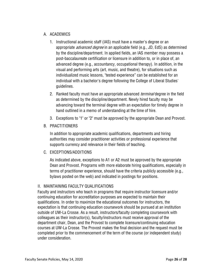# A. ACADEMICS

- 1. Instructional academic staff (IAS) must have a master's degree or an appropriate *advanced degree* in an applicable field (e.g., JD, EdS) as determined by the discipline/department. In applied fields, an IAS member may possess a post-baccalaureate certification or licensure in addition to, or in place of, an advanced degree (e.g., accountancy, occupational therapy). In addition, in the visual and performing arts (art, music, and theatre), for situations such as individualized music lessons, "tested experience" can be established for an individual with a bachelor's degree following the College of Liberal Studies' guidelines.
- 2. Ranked faculty must have an appropriate advanced *terminal* degree in the field as determined by the discipline/department. Newly hired faculty may be advancing toward the terminal degree with an expectation for timely degree in hand outlined in a memo of understanding at the time of hire.
- 3. Exceptions to "1" or "2" must be approved by the appropriate Dean and Provost.

# B. PRACTITIONERS

In addition to appropriate academic qualifications, departments and hiring authorities may consider practitioner activities or professional experience that supports currency and relevance in their fields of teaching.

#### C. EXCEPTIONS/ADDITIONS

As indicated above, exceptions to A1 or A2 must be approved by the appropriate Dean and Provost. Programs with more elaborate hiring qualifications, especially in terms of practitioner experience, should have the criteria publicly accessible (e.g., bylaws posted on the web) and indicated in postings for positions.

# II. MAINTAINING FACULTY QUALIFICATIONS

Faculty and instructors who teach in programs that require instructor licensure and/or continuing education for accreditation purposes are expected to maintain their qualifications. In order to maximize the educational outcomes for instructors, the expectation is that continuing education coursework should be pursued at an institution outside of UW-La Crosse. As a result, instructors/faculty completing coursework with colleagues as their instructor(s), faculty/instructors must receive approval of the department chair, Dean, and the Provost to complete licensure/continuing education courses at UW-La Crosse. The Provost makes the final decision and the request must be completed prior to the commencement of the term of the course (or independent study) under consideration.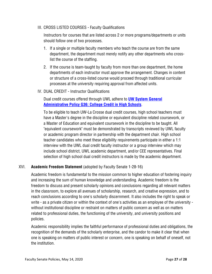#### III. CROSS LISTED COURSES - Faculty Qualifications

Instructors for courses that are listed across 2 or more programs/departments or units should follow one of two processes.

- 1. If a single or multiple faculty members who teach the course are from the same department, the department must merely notify any other departments who crosslist the course of the staffing.
- 2. If the course is team-taught by faculty from more than one department, the home departments of each instructor must approve the arrangement. Changes in content or structure of a cross-listed course would proceed through traditional curricular processes at the university requiring approval from affected units.
- IV. DUAL CREDIT Instructor Qualifications

Dual credit courses offered through UWL adhere to **UW System General Administrative Policy G36: College Credit in High Schools**.

To be eligible to teach UW-La Crosse dual credit courses, high school teachers must have a Master's degree in the discipline or equivalent discipline related coursework, or a Master of Education and equivalent coursework in the discipline to be taught. All "equivalent coursework" must be demonstrated by transcripts reviewed by UWL faculty or academic program director in partnership with the department chair. High school teacher candidates who meet these eligibility requirements participate in either a 1:1 interview with the UWL dual credit faculty instructor or a group interview which may include school district, UWL academic department, and/or CEE representatives. Final selection of high school dual credit instructors is made by the academic department.

#### XVI. **Academic Freedom Statement** (adopted by Faculty Senate 1-28-16)

Academic freedom is fundamental to the mission common to higher education of fostering inquiry and increasing the sum of human knowledge and understanding. Academic freedom is the freedom to discuss and present scholarly opinions and conclusions regarding all relevant matters in the classroom, to explore all avenues of scholarship, research, and creative expression, and to reach conclusions according to one's scholarly discernment. It also includes the right to speak or write - as a private citizen or within the context of one's activities as an employee of the university without institutional discipline or restraint on matters of public concern as well as on matters related to professional duties, the functioning of the university, and university positions and policies.

Academic responsibility implies the faithful performance of professional duties and obligations, the recognition of the demands of the scholarly enterprise, and the candor to make it clear that when one is speaking on matters of public interest or concern, one is speaking on behalf of oneself, not the institution.